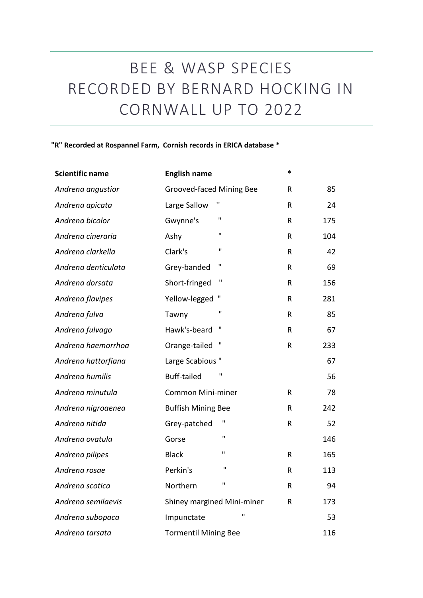## BEE & WASP SPECIES RECORDED BY BERNARD HOCKING IN CORNWALL UP TO 2022

## **"R" Recorded at Rospannel Farm, Cornish records in ERICA database \***

| <b>Scientific name</b> | <b>English name</b>           | *            |     |
|------------------------|-------------------------------|--------------|-----|
| Andrena angustior      | Grooved-faced Mining Bee      | R            | 85  |
| Andrena apicata        | Large Sallow                  | R            | 24  |
| Andrena bicolor        | $\mathbf{H}$<br>Gwynne's      | $\mathsf R$  | 175 |
| Andrena cineraria      | $\mathbf{H}$<br>Ashy          | ${\sf R}$    | 104 |
| Andrena clarkella      | $\mathbf{H}$<br>Clark's       | ${\sf R}$    | 42  |
| Andrena denticulata    | $\mathbf{H}$<br>Grey-banded   | $\mathsf{R}$ | 69  |
| Andrena dorsata        | $\mathbf{H}$<br>Short-fringed | R            | 156 |
| Andrena flavipes       | Yellow-legged                 | $\sf R$      | 281 |
| Andrena fulva          | $\mathbf{H}$<br>Tawny         | $\sf R$      | 85  |
| Andrena fulvago        | п<br>Hawk's-beard             | $\sf R$      | 67  |
| Andrena haemorrhoa     | П<br>Orange-tailed            | $\sf R$      | 233 |
| Andrena hattorfiana    | Large Scabious"               |              | 67  |
| Andrena humilis        | п<br><b>Buff-tailed</b>       |              | 56  |
| Andrena minutula       | <b>Common Mini-miner</b>      | R            | 78  |
| Andrena nigroaenea     | <b>Buffish Mining Bee</b>     | R            | 242 |
| Andrena nitida         | Grey-patched                  | $\mathsf R$  | 52  |
| Andrena ovatula        | $\mathbf{H}$<br>Gorse         |              | 146 |
| Andrena pilipes        | $\mathbf{H}$<br><b>Black</b>  | $\mathsf R$  | 165 |
| Andrena rosae          | $\mathbf{H}$<br>Perkin's      | R            | 113 |
| Andrena scotica        | П<br>Northern                 | R            | 94  |
| Andrena semilaevis     | Shiney margined Mini-miner    | ${\sf R}$    | 173 |
| Andrena subopaca       | $\mathbf{H}$<br>Impunctate    |              | 53  |
| Andrena tarsata        | <b>Tormentil Mining Bee</b>   |              | 116 |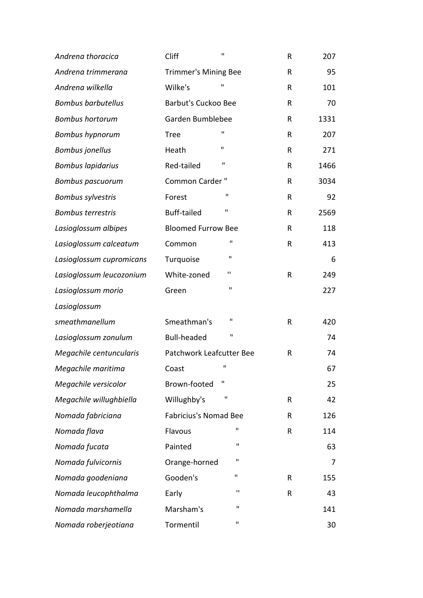| Andrena thoracica         | Cliff                        | $\mathbf{H}$ | R            | 207  |
|---------------------------|------------------------------|--------------|--------------|------|
| Andrena trimmerana        | <b>Trimmer's Mining Bee</b>  |              | R            | 95   |
| Andrena wilkella          | Wilke's                      | п            | R            | 101  |
| <b>Bombus barbutellus</b> | <b>Barbut's Cuckoo Bee</b>   |              | R            | 70   |
| <b>Bombus hortorum</b>    | Garden Bumblebee             |              | R            | 1331 |
| <b>Bombus hypnorum</b>    | <b>Tree</b>                  | п            | $\mathsf{R}$ | 207  |
| <b>Bombus jonellus</b>    | Heath                        | п            | R            | 271  |
| <b>Bombus lapidarius</b>  | Red-tailed                   | $\mathbf{H}$ | R            | 1466 |
| <b>Bombus pascuorum</b>   | Common Carder"               |              | R            | 3034 |
| <b>Bombus sylvestris</b>  | Forest                       | п            | R            | 92   |
| <b>Bombus terrestris</b>  | <b>Buff-tailed</b>           | $\mathbf{H}$ | R            | 2569 |
| Lasioglossum albipes      | <b>Bloomed Furrow Bee</b>    |              | R            | 118  |
| Lasioglossum calceatum    | Common                       | $\mathbf{H}$ | R            | 413  |
| Lasioglossum cupromicans  | Turquoise                    | П            |              | 6    |
| Lasioglossum leucozonium  | White-zoned                  | п            | R            | 249  |
| Lasioglossum morio        | Green                        | $\mathbf{H}$ |              | 227  |
| Lasioglossum              |                              |              |              |      |
| smeathmanellum            | Smeathman's                  | п            | $\mathsf{R}$ | 420  |
| Lasioglossum zonulum      | <b>Bull-headed</b>           | п            |              | 74   |
| Megachile centuncularis   | Patchwork Leafcutter Bee     |              | R            | 74   |
| Megachile maritima        | Coast                        | п            |              | 67   |
| Megachile versicolor      | Brown-footed                 | п            |              | 25   |
| Megachile willughbiella   | Willughby's                  | П            | R            | 42   |
| Nomada fabriciana         | <b>Fabricius's Nomad Bee</b> |              | R            | 126  |
| Nomada flava              | Flavous                      | П            | R            | 114  |
| Nomada fucata             | Painted                      | $\mathbf{H}$ |              | 63   |
| Nomada fulvicornis        | Orange-horned                | п            |              | 7    |
| Nomada goodeniana         | Gooden's                     | $\mathbf{H}$ | R            | 155  |
| Nomada leucophthalma      | Early                        | п            | R            | 43   |
| Nomada marshamella        | Marsham's                    | п            |              | 141  |
| Nomada roberjeotiana      | Tormentil                    | $\mathbf{H}$ |              | 30   |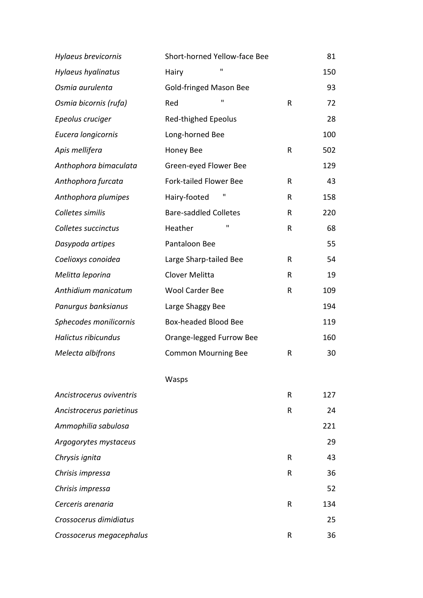| Hylaeus brevicornis      | Short-horned Yellow-face Bee  |   | 81  |
|--------------------------|-------------------------------|---|-----|
| Hylaeus hyalinatus       | $\mathbf{H}$<br>Hairy         |   | 150 |
| Osmia aurulenta          | <b>Gold-fringed Mason Bee</b> |   | 93  |
| Osmia bicornis (rufa)    | п<br>Red                      | R | 72  |
| Epeolus cruciger         | <b>Red-thighed Epeolus</b>    |   | 28  |
| Eucera longicornis       | Long-horned Bee               |   | 100 |
| Apis mellifera           | <b>Honey Bee</b>              | R | 502 |
| Anthophora bimaculata    | Green-eyed Flower Bee         |   | 129 |
| Anthophora furcata       | <b>Fork-tailed Flower Bee</b> | R | 43  |
| Anthophora plumipes      | Hairy-footed                  | R | 158 |
| Colletes similis         | <b>Bare-saddled Colletes</b>  | R | 220 |
| Colletes succinctus      | п<br>Heather                  | R | 68  |
| Dasypoda artipes         | Pantaloon Bee                 |   | 55  |
| Coelioxys conoidea       | Large Sharp-tailed Bee        | R | 54  |
| Melitta leporina         | Clover Melitta                | R | 19  |
| Anthidium manicatum      | <b>Wool Carder Bee</b>        | R | 109 |
| Panurgus banksianus      | Large Shaggy Bee              |   | 194 |
| Sphecodes monilicornis   | Box-headed Blood Bee          |   | 119 |
| Halictus ribicundus      | Orange-legged Furrow Bee      |   | 160 |
| Melecta albifrons        | <b>Common Mourning Bee</b>    | R | 30  |
|                          | Wasps                         |   |     |
| Ancistrocerus oviventris |                               | R | 127 |
| Ancistrocerus parietinus |                               | R | 24  |
| Ammophilia sabulosa      |                               |   | 221 |
| Argogorytes mystaceus    |                               |   | 29  |
| Chrysis ignita           |                               | R | 43  |
| Chrisis impressa         |                               | R | 36  |
| Chrisis impressa         |                               |   | 52  |
| Cerceris arenaria        |                               | R | 134 |
| Crossocerus dimidiatus   |                               |   | 25  |
| Crossocerus megacephalus |                               | R | 36  |